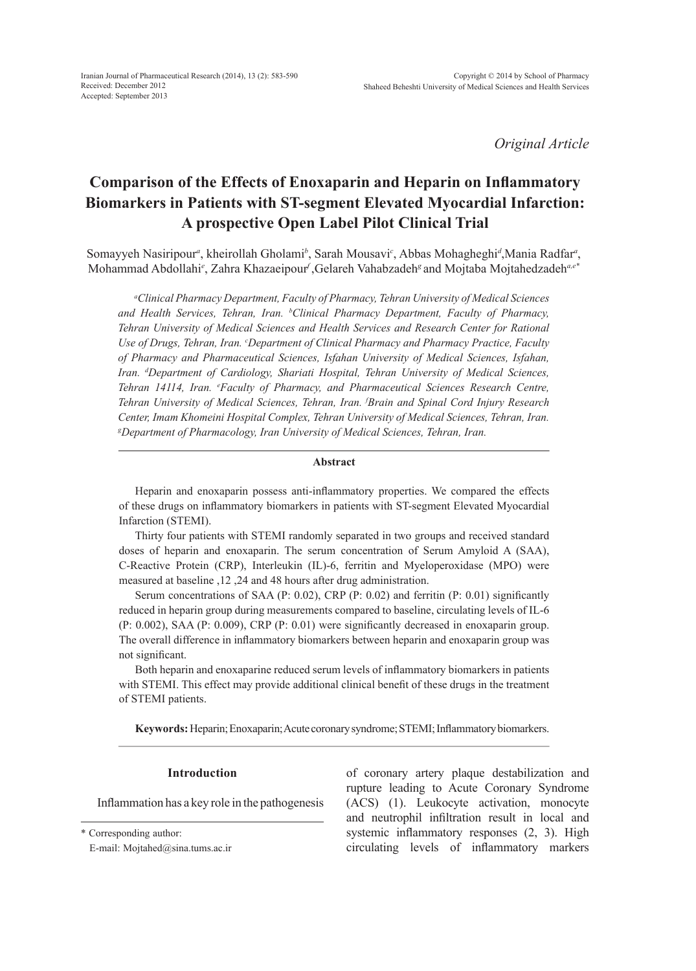*Original Article*

# **Comparison of the Effects of Enoxaparin and Heparin on Inflammatory Biomarkers in Patients with ST-segment Elevated Myocardial Infarction: A prospective Open Label Pilot Clinical Trial**

Somayyeh Nasiripour*<sup>a</sup>* , kheirollah Gholami*<sup>b</sup>* , Sarah Mousavi*<sup>c</sup>* , Abbas Mohagheghi*<sup>d</sup>* ,Mania Radfar*<sup>a</sup>* , Mohammad Abdollahi*<sup>e</sup>* , Zahra Khazaeipour*<sup>f</sup>* ,Gelareh Vahabzadeh*<sup>g</sup>* and Mojtaba Mojtahedzadeh*a,e\**

*a Clinical Pharmacy Department, Faculty of Pharmacy, Tehran University of Medical Sciences and Health Services, Tehran, Iran. b Clinical Pharmacy Department, Faculty of Pharmacy, Tehran University of Medical Sciences and Health Services and Research Center for Rational*  Use of Drugs, Tehran, Iran. *CDepartment of Clinical Pharmacy and Pharmacy Practice, Faculty of Pharmacy and Pharmaceutical Sciences, Isfahan University of Medical Sciences, Isfahan, Iran. d Department of Cardiology, Shariati Hospital, Tehran University of Medical Sciences, Tehran 14114, Iran. e Faculty of Pharmacy, and Pharmaceutical Sciences Research Centre, Tehran University of Medical Sciences, Tehran, Iran. f Brain and Spinal Cord Injury Research Center, Imam Khomeini Hospital Complex, Tehran University of Medical Sciences, Tehran, Iran. g Department of Pharmacology, Iran University of Medical Sciences, Tehran, Iran.*

#### **Abstract**

Heparin and enoxaparin possess anti-inflammatory properties. We compared the effects of these drugs on inflammatory biomarkers in patients with ST-segment Elevated Myocardial Infarction (STEMI).

Thirty four patients with STEMI randomly separated in two groups and received standard doses of heparin and enoxaparin. The serum concentration of Serum Amyloid A (SAA), C-Reactive Protein (CRP), Interleukin (IL)-6, ferritin and Myeloperoxidase (MPO) were measured at baseline ,12 ,24 and 48 hours after drug administration.

Serum concentrations of SAA (P: 0.02), CRP (P: 0.02) and ferritin (P: 0.01) significantly reduced in heparin group during measurements compared to baseline, circulating levels of IL-6 (P: 0.002), SAA (P: 0.009), CRP (P: 0.01) were significantly decreased in enoxaparin group. The overall difference in inflammatory biomarkers between heparin and enoxaparin group was not significant.

Both heparin and enoxaparine reduced serum levels of inflammatory biomarkers in patients with STEMI. This effect may provide additional clinical benefit of these drugs in the treatment of STEMI patients.

**Keywords:** Heparin; Enoxaparin; Acute coronary syndrome; STEMI; Inflammatory biomarkers.

#### **Introduction**

Inflammation has a key role in the pathogenesis

\* Corresponding author:

E-mail: Mojtahed@sina.tums.ac.ir

of coronary artery plaque destabilization and rupture leading to Acute Coronary Syndrome (ACS) (1). Leukocyte activation, monocyte and neutrophil infiltration result in local and systemic inflammatory responses  $(2, 3)$ . High circulating levels of inflammatory markers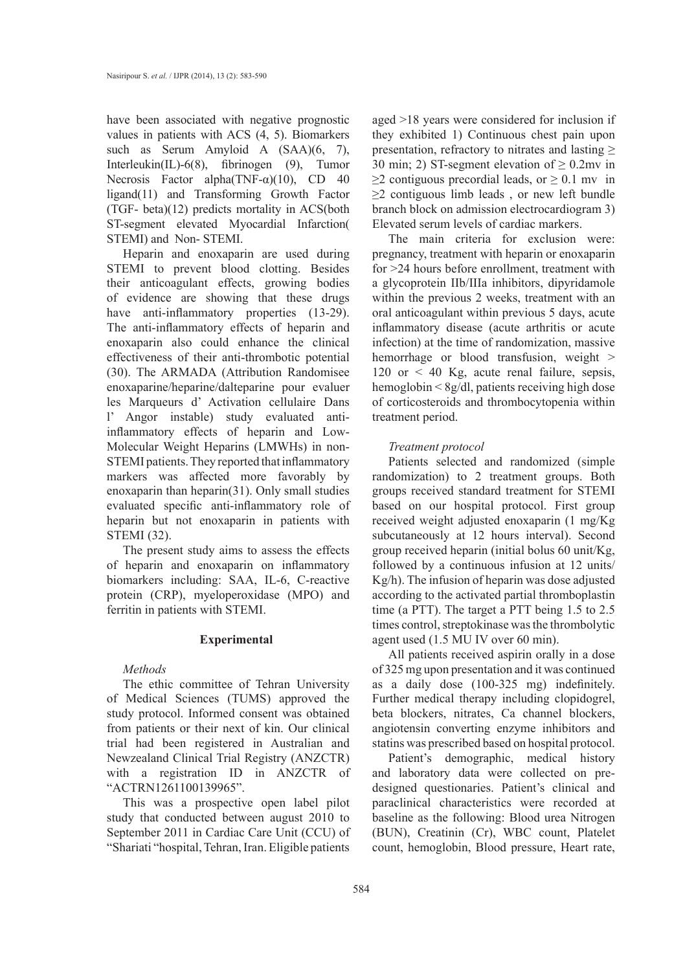have been associated with negative prognostic values in patients with ACS (4, 5). Biomarkers such as Serum Amyloid A (SAA)(6, 7), Interleukin(IL)-6(8), fibrinogen (9), Tumor Necrosis Factor alpha(TNF- $\alpha$ )(10), CD 40 ligand(11) and Transforming Growth Factor (TGF- beta)(12) predicts mortality in ACS(both ST-segment elevated Myocardial Infarction( STEMI) and Non- STEMI.

Heparin and enoxaparin are used during STEMI to prevent blood clotting. Besides their anticoagulant effects, growing bodies of evidence are showing that these drugs have anti-inflammatory properties (13-29). The anti-inflammatory effects of heparin and enoxaparin also could enhance the clinical effectiveness of their anti-thrombotic potential (30). The ARMADA (Attribution Randomisee enoxaparine/heparine/dalteparine pour evaluer les Marqueurs d' Activation cellulaire Dans l' Angor instable) study evaluated antiinflammatory effects of heparin and Low-Molecular Weight Heparins (LMWHs) in non-STEMI patients. They reported that inflammatory markers was affected more favorably by enoxaparin than heparin(31). Only small studies evaluated specific anti-inflammatory role of heparin but not enoxaparin in patients with STEMI (32).

The present study aims to assess the effects of heparin and enoxaparin on inflammatory biomarkers including: SAA, IL-6, C-reactive protein (CRP), myeloperoxidase (MPO) and ferritin in patients with STEMI.

#### **Experimental**

# *Methods*

The ethic committee of Tehran University of Medical Sciences (TUMS) approved the study protocol. Informed consent was obtained from patients or their next of kin. Our clinical trial had been registered in Australian and Newzealand Clinical Trial Registry (ANZCTR) with a registration ID in ANZCTR of "ACTRN1261100139965".

This was a prospective open label pilot study that conducted between august 2010 to September 2011 in Cardiac Care Unit (CCU) of "Shariati "hospital, Tehran, Iran. Eligible patients

aged >18 years were considered for inclusion if they exhibited 1) Continuous chest pain upon presentation, refractory to nitrates and lasting  $\geq$ 30 min; 2) ST-segment elevation of  $\geq$  0.2mv in  $\geq$ 2 contiguous precordial leads, or  $\geq$  0.1 mv in  $\geq$  contiguous limb leads, or new left bundle branch block on admission electrocardiogram 3) Elevated serum levels of cardiac markers.

The main criteria for exclusion were: pregnancy, treatment with heparin or enoxaparin for >24 hours before enrollment, treatment with a glycoprotein IIb/IIIa inhibitors, dipyridamole within the previous 2 weeks, treatment with an oral anticoagulant within previous 5 days, acute inflammatory disease (acute arthritis or acute infection) at the time of randomization, massive hemorrhage or blood transfusion, weight > 120 or  $\lt$  40 Kg, acute renal failure, sepsis, hemoglobin < 8g/dl, patients receiving high dose of corticosteroids and thrombocytopenia within treatment period.

#### *Treatment protocol*

Patients selected and randomized (simple randomization) to 2 treatment groups. Both groups received standard treatment for STEMI based on our hospital protocol. First group received weight adjusted enoxaparin (1 mg/Kg subcutaneously at 12 hours interval). Second group received heparin (initial bolus 60 unit/Kg, followed by a continuous infusion at 12 units/ Kg/h). The infusion of heparin was dose adjusted according to the activated partial thromboplastin time (a PTT). The target a PTT being 1.5 to 2.5 times control, streptokinase was the thrombolytic agent used (1.5 MU IV over 60 min).

All patients received aspirin orally in a dose of 325 mg upon presentation and it was continued as a daily dose (100-325 mg) indefinitely. Further medical therapy including clopidogrel, beta blockers, nitrates, Ca channel blockers, angiotensin converting enzyme inhibitors and statins was prescribed based on hospital protocol.

Patient's demographic, medical history and laboratory data were collected on predesigned questionaries. Patient's clinical and paraclinical characteristics were recorded at baseline as the following: Blood urea Nitrogen (BUN), Creatinin (Cr), WBC count, Platelet count, hemoglobin, Blood pressure, Heart rate,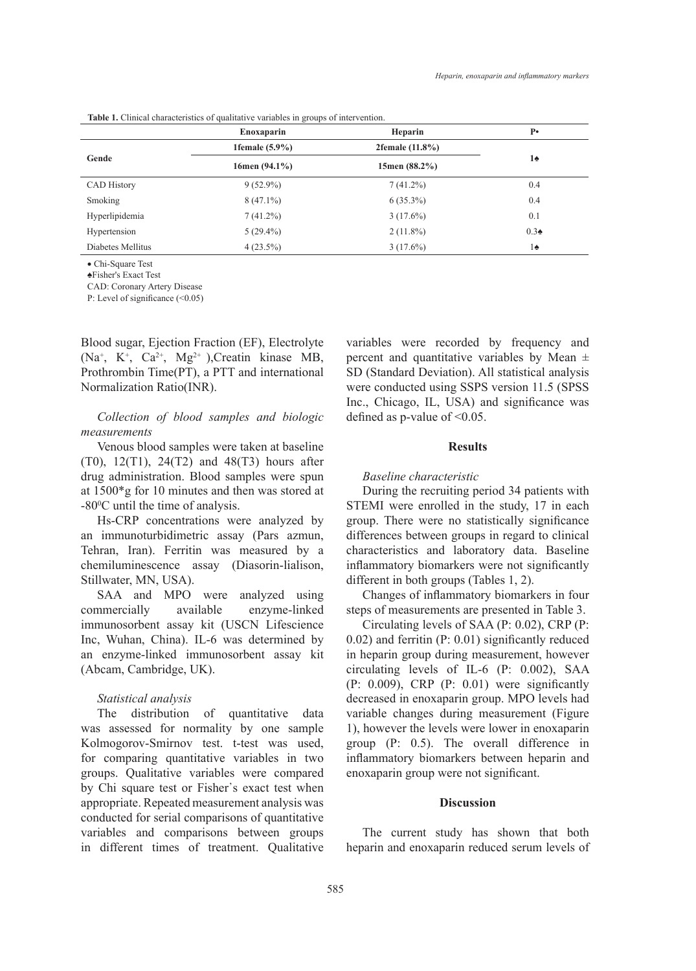|                    | Enoxaparin        | Heparin            | $P\bullet$    |  |
|--------------------|-------------------|--------------------|---------------|--|
|                    | 1female $(5.9\%)$ | 2female $(11.8\%)$ | $1\spadesuit$ |  |
| Gende              | 16men $(94.1\%)$  | 15men $(88.2\%)$   |               |  |
| <b>CAD History</b> | $9(52.9\%)$       | $7(41.2\%)$        | 0.4           |  |
| Smoking            | $8(47.1\%)$       | $6(35.3\%)$        | 0.4           |  |
| Hyperlipidemia     | 7(41.2%)          | $3(17.6\%)$        | 0.1           |  |
| Hypertension       | $5(29.4\%)$       | $2(11.8\%)$        | $0.3\bullet$  |  |
| Diabetes Mellitus  | $4(23.5\%)$       | $3(17.6\%)$        | $1\spadesuit$ |  |

• Chi-Square Test

♠Fisher's Exact Test

CAD: Coronary Artery Disease

P: Level of significance (<0.05)

Blood sugar, Ejection Fraction (EF), Electrolyte (Na<sup>+</sup>, K<sup>+</sup>, Ca<sup>2+</sup>, Mg<sup>2+</sup>), Creatin kinase MB, Prothrombin Time(PT), a PTT and international Normalization Ratio(INR).

# *Collection of blood samples and biologic measurements*

Venous blood samples were taken at baseline (T0), 12(T1), 24(T2) and 48(T3) hours after drug administration. Blood samples were spun at 1500\*g for 10 minutes and then was stored at -800 C until the time of analysis.

Hs-CRP concentrations were analyzed by an immunoturbidimetric assay (Pars azmun, Tehran, Iran). Ferritin was measured by a chemiluminescence assay (Diasorin-lialison, Stillwater, MN, USA).

SAA and MPO were analyzed using commercially available enzyme-linked immunosorbent assay kit (USCN Lifescience Inc, Wuhan, China). IL-6 was determined by an enzyme-linked immunosorbent assay kit (Abcam, Cambridge, UK).

### *Statistical analysis*

The distribution of quantitative data was assessed for normality by one sample Kolmogorov-Smirnov test. t-test was used, for comparing quantitative variables in two groups. Qualitative variables were compared by Chi square test or Fisher᾽s exact test when appropriate. Repeated measurement analysis was conducted for serial comparisons of quantitative variables and comparisons between groups in different times of treatment. Qualitative variables were recorded by frequency and percent and quantitative variables by Mean  $\pm$ SD (Standard Deviation). All statistical analysis were conducted using SSPS version 11.5 (SPSS Inc., Chicago, IL, USA) and significance was defined as p-value of <0.05.

### **Results**

### *Baseline characteristic*

During the recruiting period 34 patients with STEMI were enrolled in the study, 17 in each group. There were no statistically significance differences between groups in regard to clinical characteristics and laboratory data. Baseline inflammatory biomarkers were not significantly different in both groups (Tables 1, 2).

Changes of inflammatory biomarkers in four steps of measurements are presented in Table 3.

Circulating levels of SAA (P: 0.02), CRP (P: 0.02) and ferritin (P: 0.01) significantly reduced in heparin group during measurement, however circulating levels of IL-6 (P: 0.002), SAA (P: 0.009), CRP (P: 0.01) were significantly decreased in enoxaparin group. MPO levels had variable changes during measurement (Figure 1), however the levels were lower in enoxaparin group (P: 0.5). The overall difference in inflammatory biomarkers between heparin and enoxaparin group were not significant.

## **Discussion**

The current study has shown that both heparin and enoxaparin reduced serum levels of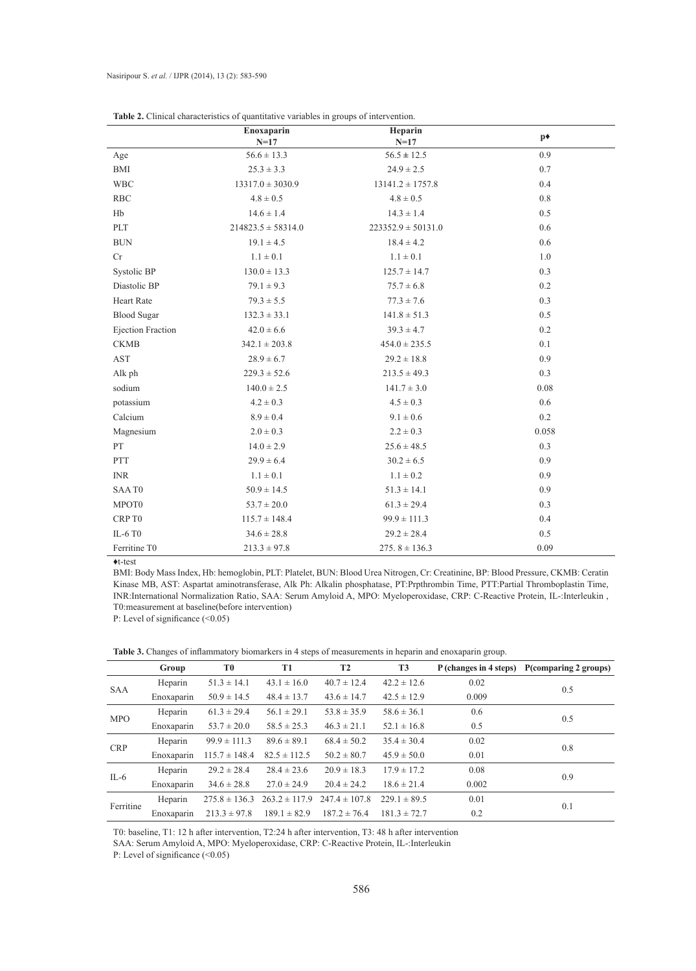| <b>rapic 2.</b> Chinear enaracteristics of quantitudive variables in groups of microchillon.<br>Heparin<br>Enoxaparin |                        |                        |                |  |  |  |  |
|-----------------------------------------------------------------------------------------------------------------------|------------------------|------------------------|----------------|--|--|--|--|
|                                                                                                                       | $N=17$                 | $N=17$                 | p <sup>+</sup> |  |  |  |  |
| Age                                                                                                                   | $56.6 \pm 13.3$        | $56.5 \pm 12.5$        | 0.9            |  |  |  |  |
| <b>BMI</b>                                                                                                            | $25.3 \pm 3.3$         | $24.9 \pm 2.5$         | 0.7            |  |  |  |  |
| <b>WBC</b>                                                                                                            | $13317.0 \pm 3030.9$   | $13141.2 \pm 1757.8$   | 0.4            |  |  |  |  |
| <b>RBC</b>                                                                                                            | $4.8 \pm 0.5$          | $4.8 \pm 0.5$          | 0.8            |  |  |  |  |
| Hb                                                                                                                    | $14.6 \pm 1.4$         | $14.3 \pm 1.4$         | 0.5            |  |  |  |  |
| $\ensuremath{\mathrm{PLT}}$                                                                                           | $214823.5 \pm 58314.0$ | $223352.9 \pm 50131.0$ | 0.6            |  |  |  |  |
| <b>BUN</b>                                                                                                            | $19.1 \pm 4.5$         | $18.4 \pm 4.2$         | 0.6            |  |  |  |  |
| Cr                                                                                                                    | $1.1 \pm 0.1$          | $1.1 \pm 0.1$          | 1.0            |  |  |  |  |
| Systolic BP                                                                                                           | $130.0 \pm 13.3$       | $125.7 \pm 14.7$       | 0.3            |  |  |  |  |
| Diastolic BP                                                                                                          | $79.1 \pm 9.3$         | $75.7 \pm 6.8$         | 0.2            |  |  |  |  |
| <b>Heart Rate</b>                                                                                                     | $79.3 \pm 5.5$         | $77.3 \pm 7.6$         | 0.3            |  |  |  |  |
| <b>Blood Sugar</b>                                                                                                    | $132.3 \pm 33.1$       | $141.8 \pm 51.3$       | 0.5            |  |  |  |  |
| <b>Ejection Fraction</b>                                                                                              | $42.0 \pm 6.6$         | $39.3 \pm 4.7$         | 0.2            |  |  |  |  |
| <b>CKMB</b>                                                                                                           | $342.1 \pm 203.8$      | $454.0 \pm 235.5$      | 0.1            |  |  |  |  |
| <b>AST</b>                                                                                                            | $28.9 \pm 6.7$         | $29.2 \pm 18.8$        | 0.9            |  |  |  |  |
| Alk ph                                                                                                                | $229.3 \pm 52.6$       | $213.5 \pm 49.3$       | 0.3            |  |  |  |  |
| sodium                                                                                                                | $140.0 \pm 2.5$        | $141.7 \pm 3.0$        | 0.08           |  |  |  |  |
| potassium                                                                                                             | $4.2 \pm 0.3$          | $4.5 \pm 0.3$          | 0.6            |  |  |  |  |
| Calcium                                                                                                               | $8.9 \pm 0.4$          | $9.1 \pm 0.6$          | 0.2            |  |  |  |  |
| Magnesium                                                                                                             | $2.0 \pm 0.3$          | $2.2 \pm 0.3$          | 0.058          |  |  |  |  |
| PT                                                                                                                    | $14.0 \pm 2.9$         | $25.6 \pm 48.5$        | 0.3            |  |  |  |  |
| <b>PTT</b>                                                                                                            | $29.9 \pm 6.4$         | $30.2 \pm 6.5$         | 0.9            |  |  |  |  |
| <b>INR</b>                                                                                                            | $1.1 \pm 0.1$          | $1.1 \pm 0.2$          | 0.9            |  |  |  |  |
| SAAT0                                                                                                                 | $50.9 \pm 14.5$        | $51.3 \pm 14.1$        | 0.9            |  |  |  |  |
| MPOT0                                                                                                                 | $53.7 \pm 20.0$        | $61.3 \pm 29.4$        | 0.3            |  |  |  |  |
| CRP T0                                                                                                                | $115.7 \pm 148.4$      | $99.9 \pm 111.3$       | 0.4            |  |  |  |  |
| IL-6 T0                                                                                                               | $34.6 \pm 28.8$        | $29.2 \pm 28.4$        | 0.5            |  |  |  |  |
| Ferritine T0                                                                                                          | $213.3 \pm 97.8$       | $275.8 \pm 136.3$      | 0.09           |  |  |  |  |

|  |  | <b>Table 2.</b> Clinical characteristics of quantitative variables in groups of intervention. |  |  |  |  |  |  |  |
|--|--|-----------------------------------------------------------------------------------------------|--|--|--|--|--|--|--|
|--|--|-----------------------------------------------------------------------------------------------|--|--|--|--|--|--|--|

♦t-test

 $\overline{a}$ 

 $\overline{a}$ 

L,

L

BMI: Body Mass Index, Hb: hemoglobin, PLT: Platelet, BUN: Blood Urea Nitrogen, Cr: Creatinine, BP: Blood Pressure, CKMB: Ceratin Kinase MB, AST: Aspartat aminotransferase, Alk Ph: Alkalin phosphatase, PT:Prpthrombin Time, PTT:Partial Thromboplastin Time, INR:International Normalization Ratio, SAA: Serum Amyloid A, MPO: Myeloperoxidase, CRP: C-Reactive Protein, IL-:Interleukin , T0:measurement at baseline(before intervention)

P: Level of significance (<0.05)

|            | Group      | T0                | T1                | T <sub>2</sub>    | T <sub>3</sub>   | P (changes in 4 steps) | P(comparing 2 groups) |  |  |
|------------|------------|-------------------|-------------------|-------------------|------------------|------------------------|-----------------------|--|--|
| <b>SAA</b> | Heparin    | $51.3 \pm 14.1$   | $43.1 \pm 16.0$   | $40.7 \pm 12.4$   | $42.2 \pm 12.6$  | 0.02                   | 0.5                   |  |  |
|            | Enoxaparin | $50.9 \pm 14.5$   | $48.4 \pm 13.7$   | $43.6 \pm 14.7$   | $42.5 \pm 12.9$  | 0.009                  |                       |  |  |
| <b>MPO</b> | Heparin    | $61.3 \pm 29.4$   | $56.1 \pm 29.1$   | $53.8 \pm 35.9$   | $58.6 \pm 36.1$  | 0.6                    | 0.5                   |  |  |
|            | Enoxaparin | $53.7 \pm 20.0$   | $58.5 \pm 25.3$   | $46.3 \pm 21.1$   | $52.1 \pm 16.8$  | 0.5                    |                       |  |  |
| <b>CRP</b> | Heparin    | $99.9 \pm 111.3$  | $89.6 \pm 89.1$   | $68.4 \pm 50.2$   | $35.4 \pm 30.4$  | 0.02                   | 0.8                   |  |  |
|            | Enoxaparin | $115.7 \pm 148.4$ | $82.5 \pm 112.5$  | $50.2 \pm 80.7$   | $45.9 \pm 50.0$  | 0.01                   |                       |  |  |
| $IL-6$     | Heparin    | $29.2 \pm 28.4$   | $28.4 \pm 23.6$   | $20.9 \pm 18.3$   | $17.9 \pm 17.2$  | 0.08                   | 0.9                   |  |  |
|            | Enoxaparin | $34.6 \pm 28.8$   | $27.0 \pm 24.9$   | $20.4 \pm 24.2$   | $18.6 \pm 21.4$  | 0.002                  |                       |  |  |
| Ferritine  | Heparin    | $275.8 \pm 136.3$ | $263.2 \pm 117.9$ | $247.4 \pm 107.8$ | $229.1 \pm 89.5$ | 0.01                   |                       |  |  |
|            | Enoxaparin | $213.3 \pm 97.8$  | $189.1 \pm 82.9$  | $187.2 \pm 76.4$  | $181.3 \pm 72.7$ | 0.2                    | 0.1                   |  |  |

**Table 3.** Changes of inflammatory biomarkers in 4 steps of measurements in heparin and enoxaparin group.

T0: baseline, T1: 12 h after intervention, T2:24 h after intervention, T3: 48 h after intervention

SAA: Serum Amyloid A, MPO: Myeloperoxidase, CRP: C-Reactive Protein, IL-:Interleukin

P: Level of significance (<0.05)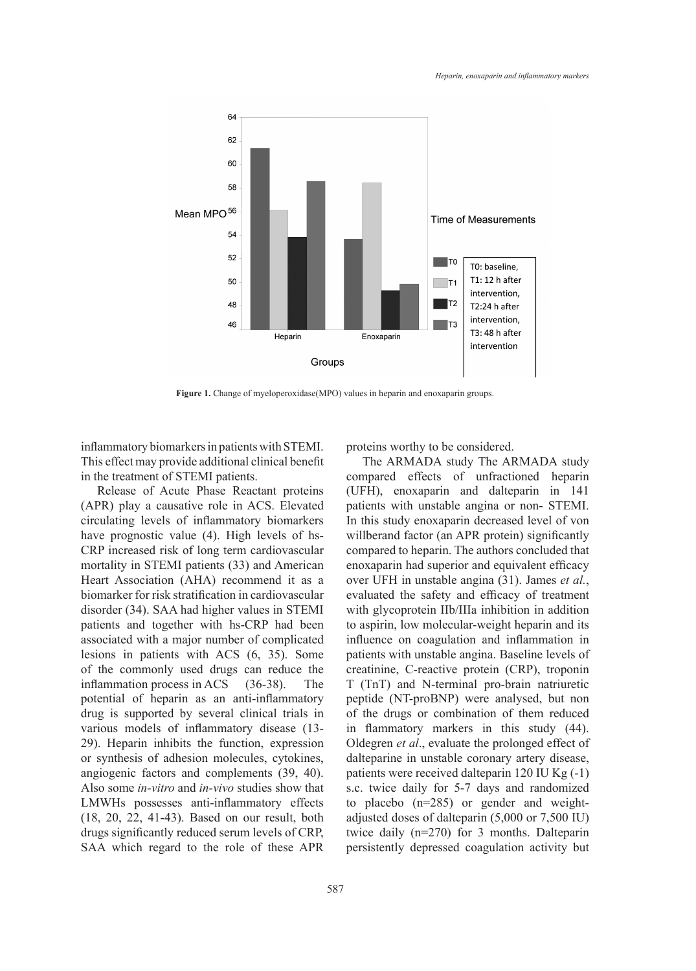

**Figure 1.** Change of myeloperoxidase(MPO) values in heparin and enoxaparin groups.

inflammatory biomarkers in patients with STEMI. This effect may provide additional clinical benefit in the treatment of STEMI patients.

Release of Acute Phase Reactant proteins (APR) play a causative role in ACS. Elevated circulating levels of inflammatory biomarkers have prognostic value (4). High levels of hs-CRP increased risk of long term cardiovascular mortality in STEMI patients (33) and American Heart Association (AHA) recommend it as a biomarker for risk stratification in cardiovascular disorder (34). SAA had higher values in STEMI patients and together with hs-CRP had been associated with a major number of complicated lesions in patients with ACS (6, 35). Some of the commonly used drugs can reduce the inflammation process in ACS (36-38). The potential of heparin as an anti-inflammatory drug is supported by several clinical trials in various models of inflammatory disease (13- 29). Heparin inhibits the function, expression or synthesis of adhesion molecules, cytokines, angiogenic factors and complements (39, 40). Also some *in-vitro* and *in-vivo* studies show that LMWHs possesses anti-inflammatory effects (18, 20, 22, 41-43). Based on our result, both drugs significantly reduced serum levels of CRP, SAA which regard to the role of these APR

proteins worthy to be considered.

The ARMADA study The ARMADA study compared effects of unfractioned heparin (UFH), enoxaparin and dalteparin in 141 patients with unstable angina or non- STEMI. In this study enoxaparin decreased level of von willberand factor (an APR protein) significantly compared to heparin. The authors concluded that enoxaparin had superior and equivalent efficacy over UFH in unstable angina (31). James *et al.*, evaluated the safety and efficacy of treatment with glycoprotein IIb/IIIa inhibition in addition to aspirin, low molecular-weight heparin and its influence on coagulation and inflammation in patients with unstable angina. Baseline levels of creatinine, C-reactive protein (CRP), troponin T (TnT) and N-terminal pro-brain natriuretic peptide (NT-proBNP) were analysed, but non of the drugs or combination of them reduced in flammatory markers in this study (44). Oldegren *et al*., evaluate the prolonged effect of dalteparine in unstable coronary artery disease, patients were received dalteparin 120 IU Kg (-1) s.c. twice daily for 5-7 days and randomized to placebo (n=285) or gender and weightadjusted doses of dalteparin (5,000 or 7,500 IU) twice daily (n=270) for 3 months. Dalteparin persistently depressed coagulation activity but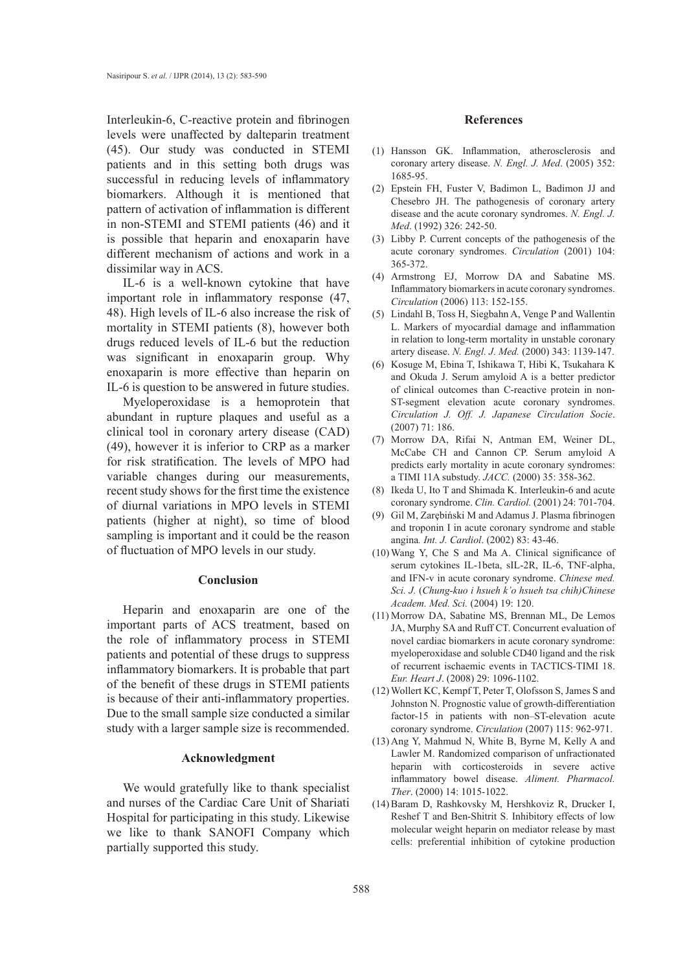Interleukin-6, C-reactive protein and fibrinogen **References** levels were unaffected by dalteparin treatment (45). Our study was conducted in STEMI patients and in this setting both drugs was successful in reducing levels of inflammatory biomarkers. Although it is mentioned that pattern of activation of inflammation is different in non-STEMI and STEMI patients (46) and it is possible that heparin and enoxaparin have different mechanism of actions and work in a dissimilar way in ACS.

IL-6 is a well-known cytokine that have important role in inflammatory response (47, 48). High levels of IL-6 also increase the risk of mortality in STEMI patients (8), however both drugs reduced levels of IL-6 but the reduction was significant in enoxaparin group. Why enoxaparin is more effective than heparin on IL-6 is question to be answered in future studies.

Myeloperoxidase is a hemoprotein that abundant in rupture plaques and useful as a clinical tool in coronary artery disease (CAD) (49), however it is inferior to CRP as a marker for risk stratification. The levels of MPO had variable changes during our measurements, recent study shows for the first time the existence of diurnal variations in MPO levels in STEMI patients (higher at night), so time of blood sampling is important and it could be the reason of fluctuation of MPO levels in our study.

### **Conclusion**

Heparin and enoxaparin are one of the important parts of ACS treatment, based on the role of inflammatory process in STEMI patients and potential of these drugs to suppress inflammatory biomarkers. It is probable that part of the benefit of these drugs in STEMI patients is because of their anti-inflammatory properties. Due to the small sample size conducted a similar study with a larger sample size is recommended.

# **Acknowledgment**

We would gratefully like to thank specialist and nurses of the Cardiac Care Unit of Shariati Hospital for participating in this study. Likewise we like to thank SANOFI Company which partially supported this study.

- (1) Hansson GK. Inflammation, atherosclerosis and coronary artery disease. *N. Engl. J. Med*. (2005) 352: 1685-95.
- Epstein FH, Fuster V, Badimon L, Badimon JJ and (2) Chesebro JH. The pathogenesis of coronary artery disease and the acute coronary syndromes. *N. Engl. J. Med*. (1992) 326: 242-50.
- Libby P. Current concepts of the pathogenesis of the (3) acute coronary syndromes. *Circulation* (2001) 104: 365-372.
- Armstrong EJ, Morrow DA and Sabatine MS. (4) Inflammatory biomarkers in acute coronary syndromes. *Circulation* (2006) 113: 152-155.
- Lindahl B, Toss H, Siegbahn A, Venge P and Wallentin (5) L. Markers of myocardial damage and inflammation in relation to long-term mortality in unstable coronary artery disease. *N. Engl. J. Med.* (2000) 343: 1139-147.
- (6) Kosuge M, Ebina T, Ishikawa T, Hibi K, Tsukahara K and Okuda J. Serum amyloid A is a better predictor of clinical outcomes than C-reactive protein in non-ST-segment elevation acute coronary syndromes. *Circulation J. Off. J. Japanese Circulation Socie*. (2007) 71: 186.
- Morrow DA, Rifai N, Antman EM, Weiner DL, (7) McCabe CH and Cannon CP. Serum amyloid A predicts early mortality in acute coronary syndromes: a TIMI 11A substudy. *JACC.* (2000) 35: 358-362.
- $(8)$  Ikeda U, Ito T and Shimada K. Interleukin-6 and acute coronary syndrome. *Clin. Cardiol.* (2001) 24: 701-704.
- Gil M, Zarębiński M and Adamus J. Plasma fibrinogen and troponin I in acute coronary syndrome and stable angina*. Int. J. Cardiol*. (2002) 83: 43-46. (9)
- Wang Y, Che S and Ma A. Clinical significance of (10) serum cytokines IL-1beta, sIL-2R, IL-6, TNF-alpha, and IFN-v in acute coronary syndrome. *Chinese med. Sci. J.* (*Chung-kuo i hsueh k᾽o hsueh tsa chih)Chinese Academ. Med. Sci.* (2004) 19: 120.
- (11) Morrow DA, Sabatine MS, Brennan ML, De Lemos JA, Murphy SA and Ruff CT. Concurrent evaluation of novel cardiac biomarkers in acute coronary syndrome: myeloperoxidase and soluble CD40 ligand and the risk of recurrent ischaemic events in TACTICS-TIMI 18. *Eur. Heart J*. (2008) 29: 1096-1102.
- Wollert KC, Kempf T, Peter T, Olofsson S, James S and (12) Johnston N. Prognostic value of growth-differentiation factor-15 in patients with non–ST-elevation acute coronary syndrome. *Circulation* (2007) 115: 962-971.
- $(13)$  Ang Y, Mahmud N, White B, Byrne M, Kelly A and Lawler M. Randomized comparison of unfractionated heparin with corticosteroids in severe active inflammatory bowel disease. *Aliment. Pharmacol. Ther*. (2000) 14: 1015-1022.
- (14) Baram D, Rashkovsky M, Hershkoviz R, Drucker I, Reshef T and Ben-Shitrit S. Inhibitory effects of low molecular weight heparin on mediator release by mast cells: preferential inhibition of cytokine production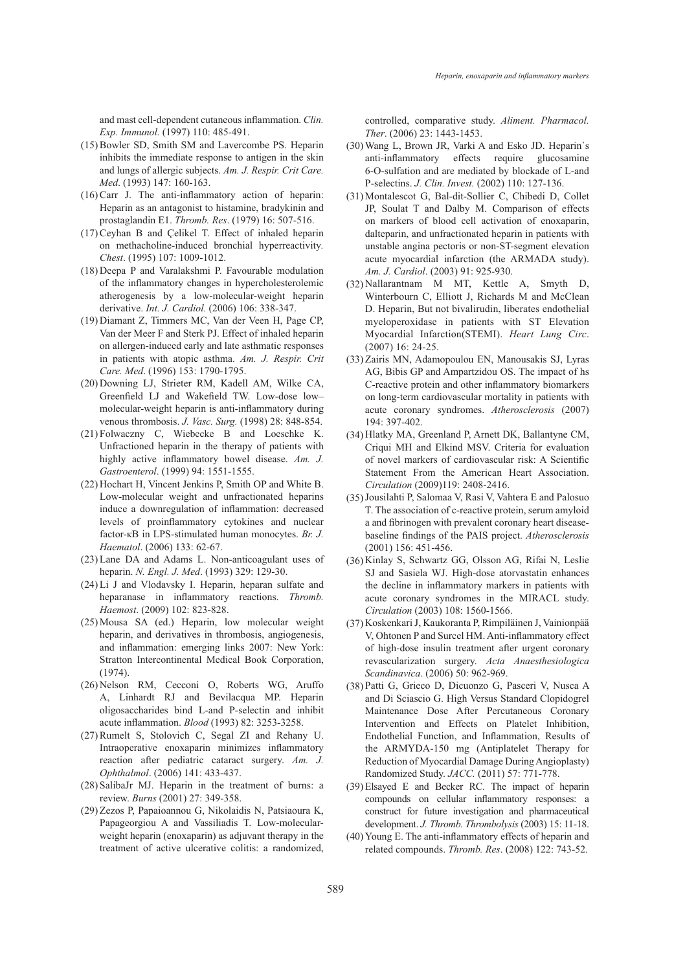and mast cell-dependent cutaneous inflammation. *Clin. Exp. Immunol.* (1997) 110: 485-491.

- (15) Bowler SD, Smith SM and Lavercombe PS. Heparin inhibits the immediate response to antigen in the skin and lungs of allergic subjects. *Am. J. Respir. Crit Care. Med*. (1993) 147: 160-163.
- $(16)$  Carr J. The anti-inflammatory action of heparin: Heparin as an antagonist to histamine, bradykinin and prostaglandin E1. *Thromb. Res*. (1979) 16: 507-516.
- $(17)$  Ceyhan B and Çelikel T. Effect of inhaled heparin on methacholine-induced bronchial hyperreactivity*. Chest*. (1995) 107: 1009-1012.
- $(18)$  Deepa P and Varalakshmi P. Favourable modulation of the inflammatory changes in hypercholesterolemic atherogenesis by a low-molecular-weight heparin derivative. *Int. J. Cardiol.* (2006) 106: 338-347.
- (19) Diamant Z, Timmers MC, Van der Veen H, Page CP, Van der Meer F and Sterk PJ. Effect of inhaled heparin on allergen-induced early and late asthmatic responses in patients with atopic asthma. *Am. J. Respir. Crit Care. Med*. (1996) 153: 1790-1795.
- (20) Downing LJ, Strieter RM, Kadell AM, Wilke CA, Greenfield LJ and Wakefield TW. Low-dose low– molecular-weight heparin is anti-inflammatory during venous thrombosis. *J. Vasc. Surg.* (1998) 28: 848-854.
- Folwaczny C, Wiebecke B and Loeschke K. (21) Unfractioned heparin in the therapy of patients with highly active inflammatory bowel disease. *Am. J. Gastroenterol*. (1999) 94: 1551-1555.
- (22) Hochart H, Vincent Jenkins P, Smith OP and White B. Low-molecular weight and unfractionated heparins induce a downregulation of inflammation: decreased levels of proinflammatory cytokines and nuclear factor-κB in LPS-stimulated human monocytes. *Br. J. Haematol*. (2006) 133: 62-67.
- (23) Lane DA and Adams L. Non-anticoagulant uses of heparin. *N. Engl. J. Med*. (1993) 329: 129-30.
- $(24)$  Li J and Vlodavsky I. Heparin, heparan sulfate and heparanase in inflammatory reactions. *Thromb. Haemost*. (2009) 102: 823-828.
- (25) Mousa SA (ed.) Heparin, low molecular weight heparin, and derivatives in thrombosis, angiogenesis, and inflammation: emerging links 2007: New York: Stratton Intercontinental Medical Book Corporation, (1974).
- (26) Nelson RM, Cecconi O, Roberts WG, Aruffo A, Linhardt RJ and Bevilacqua MP. Heparin oligosaccharides bind L-and P-selectin and inhibit acute inflammation. *Blood* (1993) 82: 3253-3258.
- $(27)$  Rumelt S, Stolovich C, Segal ZI and Rehany U. Intraoperative enoxaparin minimizes inflammatory reaction after pediatric cataract surgery. *Am. J. Ophthalmol*. (2006) 141: 433-437.
- (28) SalibaJr MJ. Heparin in the treatment of burns: a review. *Burns* (2001) 27: 349-358.
- (29) Zezos P, Papaioannou G, Nikolaidis N, Patsiaoura K, Papageorgiou A and Vassiliadis T. Low-molecularweight heparin (enoxaparin) as adjuvant therapy in the treatment of active ulcerative colitis: a randomized,

controlled, comparative study. *Aliment. Pharmacol. Ther*. (2006) 23: 1443-1453.

- Wang L, Brown JR, Varki A and Esko JD. Heparin᾽s (30) anti-inflammatory effects require glucosamine 6-O-sulfation and are mediated by blockade of L-and P-selectins. *J. Clin. Invest.* (2002) 110: 127-136.
- Montalescot G, Bal-dit-Sollier C, Chibedi D, Collet (31) JP, Soulat T and Dalby M. Comparison of effects on markers of blood cell activation of enoxaparin, dalteparin, and unfractionated heparin in patients with unstable angina pectoris or non-ST-segment elevation acute myocardial infarction (the ARMADA study). *Am. J. Cardiol*. (2003) 91: 925-930.
- (32) Nallarantnam M MT, Kettle A, Smyth D, Winterbourn C, Elliott J, Richards M and McClean D. Heparin, But not bivalirudin, liberates endothelial myeloperoxidase in patients with ST Elevation Myocardial Infarction(STEMI). *Heart Lung Circ*. (2007) 16: 24-25.
- (33) Zairis MN, Adamopoulou EN, Manousakis SJ, Lyras AG, Bibis GP and Ampartzidou OS. The impact of hs C-reactive protein and other inflammatory biomarkers on long-term cardiovascular mortality in patients with acute coronary syndromes. *Atherosclerosis* (2007) 194: 397-402.
- (34) Hlatky MA, Greenland P, Arnett DK, Ballantyne CM, Criqui MH and Elkind MSV. Criteria for evaluation of novel markers of cardiovascular risk: A Scientific Statement From the American Heart Association. *Circulation* (2009)119: 2408-2416.
- (35) Jousilahti P, Salomaa V, Rasi V, Vahtera E and Palosuo T. The association of c-reactive protein, serum amyloid a and fibrinogen with prevalent coronary heart diseasebaseline findings of the PAIS project. *Atherosclerosis* (2001) 156: 451-456.
- (36) Kinlay S, Schwartz GG, Olsson AG, Rifai N, Leslie SJ and Sasiela WJ. High-dose atorvastatin enhances the decline in inflammatory markers in patients with acute coronary syndromes in the MIRACL study. *Circulation* (2003) 108: 1560-1566.
- (37) Koskenkari J, Kaukoranta P, Rimpiläinen J, Vainionpää V, Ohtonen P and Surcel HM. Anti-inflammatory effect of high-dose insulin treatment after urgent coronary revascularization surgery. *Acta Anaesthesiologica Scandinavica*. (2006) 50: 962-969.
- Patti G, Grieco D, Dicuonzo G, Pasceri V, Nusca A (38) and Di Sciascio G. High Versus Standard Clopidogrel Maintenance Dose After Percutaneous Coronary Intervention and Effects on Platelet Inhibition, Endothelial Function, and Inflammation, Results of the ARMYDA-150 mg (Antiplatelet Therapy for Reduction of Myocardial Damage During Angioplasty) Randomized Study. *JACC.* (2011) 57: 771-778.
- (39) Elsayed E and Becker RC. The impact of heparin compounds on cellular inflammatory responses: a construct for future investigation and pharmaceutical development. *J. Thromb. Thrombolysis* (2003) 15: 11-18.
- (40) Young E. The anti-inflammatory effects of heparin and related compounds. *Thromb. Res*. (2008) 122: 743-52.